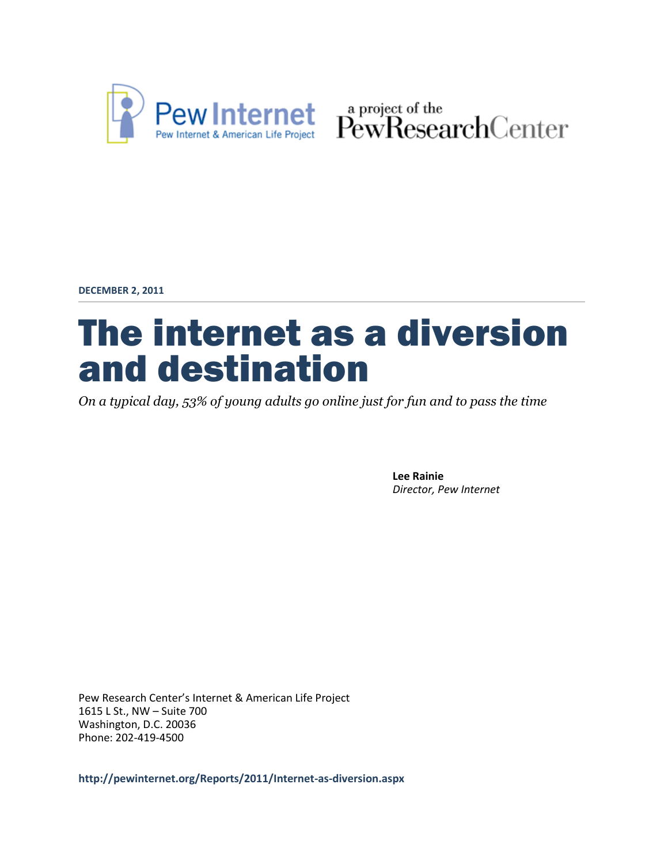

Pew Internet & American Life Project PewResearchCenter

**DECEMBER 2, 2011**

# The internet as a diversion and destination

*On a typical day, 53% of young adults go online just for fun and to pass the time*

**Lee Rainie** *Director, Pew Internet*

Pew Research Center's Internet & American Life Project 1615 L St., NW – Suite 700 Washington, D.C. 20036 Phone: 202-419-4500

**http://pewinternet.org/Reports/2011/Internet-as-diversion.aspx**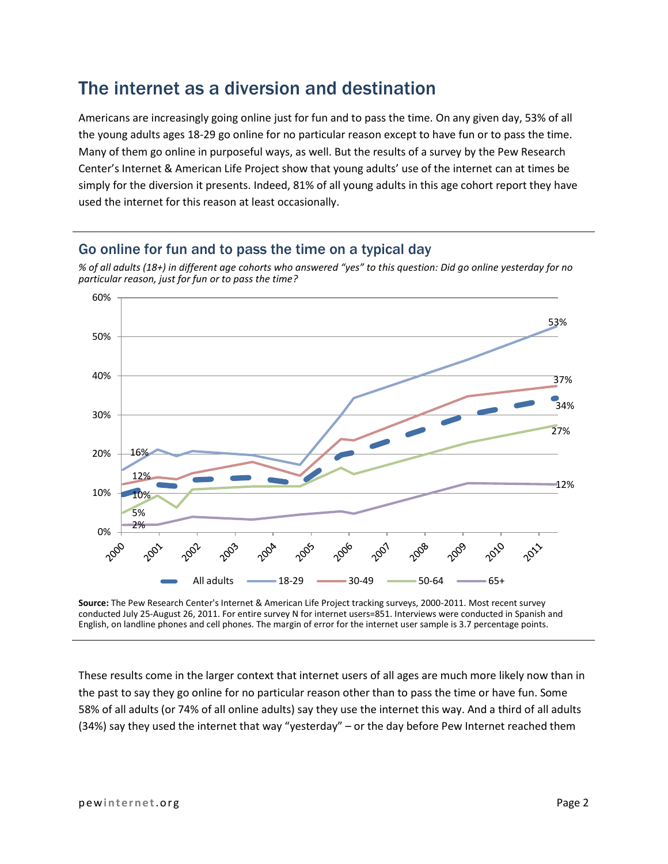### The internet as a diversion and destination

Americans are increasingly going online just for fun and to pass the time. On any given day, 53% of all the young adults ages 18-29 go online for no particular reason except to have fun or to pass the time. Many of them go online in purposeful ways, as well. But the results of a survey by the Pew Research Center's Internet & American Life Project show that young adults' use of the internet can at times be simply for the diversion it presents. Indeed, 81% of all young adults in this age cohort report they have used the internet for this reason at least occasionally.

### Go online for fun and to pass the time on a typical day





**Source:** The Pew Research Center's Internet & American Life Project tracking surveys, 2000-2011. Most recent survey conducted July 25-August 26, 2011. For entire survey N for internet users=851. Interviews were conducted in Spanish and English, on landline phones and cell phones. The margin of error for the internet user sample is 3.7 percentage points.

These results come in the larger context that internet users of all ages are much more likely now than in the past to say they go online for no particular reason other than to pass the time or have fun. Some 58% of all adults (or 74% of all online adults) say they use the internet this way. And a third of all adults (34%) say they used the internet that way "yesterday" – or the day before Pew Internet reached them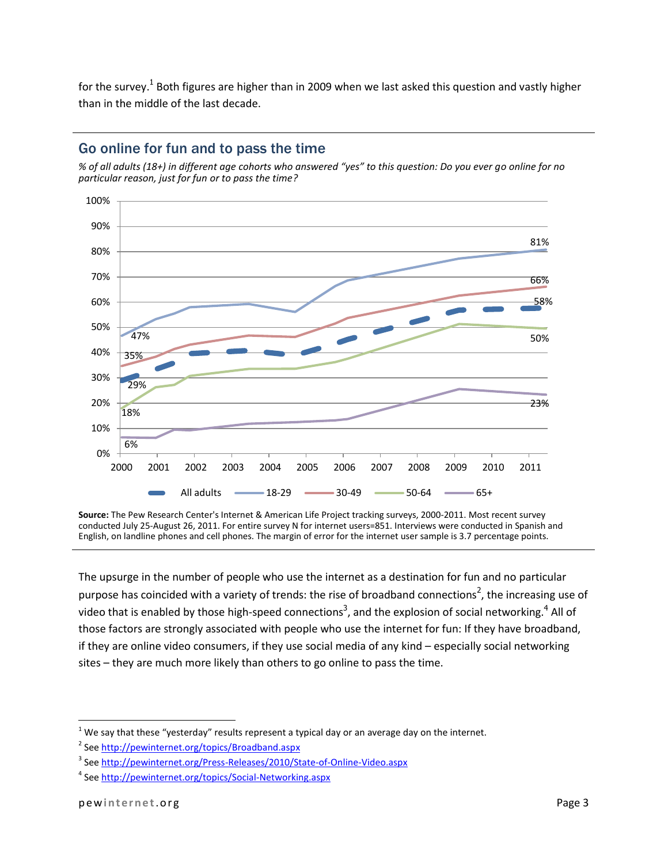for the survey.<sup>1</sup> Both figures are higher than in 2009 when we last asked this question and vastly higher than in the middle of the last decade.



#### Go online for fun and to pass the time

*% of all adults (18+) in different age cohorts who answered "yes" to this question: Do you ever go online for no particular reason, just for fun or to pass the time?* 

**Source:** The Pew Research Center's Internet & American Life Project tracking surveys, 2000-2011. Most recent survey conducted July 25-August 26, 2011. For entire survey N for internet users=851. Interviews were conducted in Spanish and English, on landline phones and cell phones. The margin of error for the internet user sample is 3.7 percentage points.

The upsurge in the number of people who use the internet as a destination for fun and no particular purpose has coincided with a variety of trends: the rise of broadband connections<sup>2</sup>, the increasing use of video that is enabled by those high-speed connections<sup>3</sup>, and the explosion of social networking.<sup>4</sup> All of those factors are strongly associated with people who use the internet for fun: If they have broadband, if they are online video consumers, if they use social media of any kind – especially social networking sites – they are much more likely than others to go online to pass the time.

l

 $1$  We say that these "yesterday" results represent a typical day or an average day on the internet.

<sup>&</sup>lt;sup>2</sup> See<http://pewinternet.org/topics/Broadband.aspx>

<sup>&</sup>lt;sup>3</sup> See <u>http://pewinternet.org/Press-Releases/2010/State-of-Online-Video.aspx</u>

<sup>&</sup>lt;sup>4</sup> See<http://pewinternet.org/topics/Social-Networking.aspx>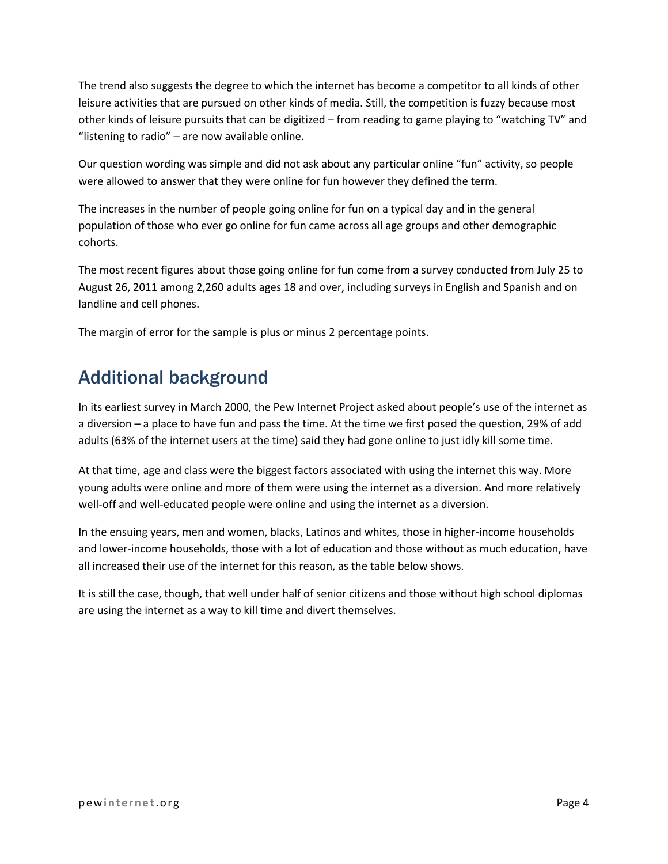The trend also suggests the degree to which the internet has become a competitor to all kinds of other leisure activities that are pursued on other kinds of media. Still, the competition is fuzzy because most other kinds of leisure pursuits that can be digitized – from reading to game playing to "watching TV" and "listening to radio" – are now available online.

Our question wording was simple and did not ask about any particular online "fun" activity, so people were allowed to answer that they were online for fun however they defined the term.

The increases in the number of people going online for fun on a typical day and in the general population of those who ever go online for fun came across all age groups and other demographic cohorts.

The most recent figures about those going online for fun come from a survey conducted from July 25 to August 26, 2011 among 2,260 adults ages 18 and over, including surveys in English and Spanish and on landline and cell phones.

The margin of error for the sample is plus or minus 2 percentage points.

# Additional background

In its earliest survey in March 2000, the Pew Internet Project asked about people's use of the internet as a diversion – a place to have fun and pass the time. At the time we first posed the question, 29% of add adults (63% of the internet users at the time) said they had gone online to just idly kill some time.

At that time, age and class were the biggest factors associated with using the internet this way. More young adults were online and more of them were using the internet as a diversion. And more relatively well-off and well-educated people were online and using the internet as a diversion.

In the ensuing years, men and women, blacks, Latinos and whites, those in higher-income households and lower-income households, those with a lot of education and those without as much education, have all increased their use of the internet for this reason, as the table below shows.

It is still the case, though, that well under half of senior citizens and those without high school diplomas are using the internet as a way to kill time and divert themselves.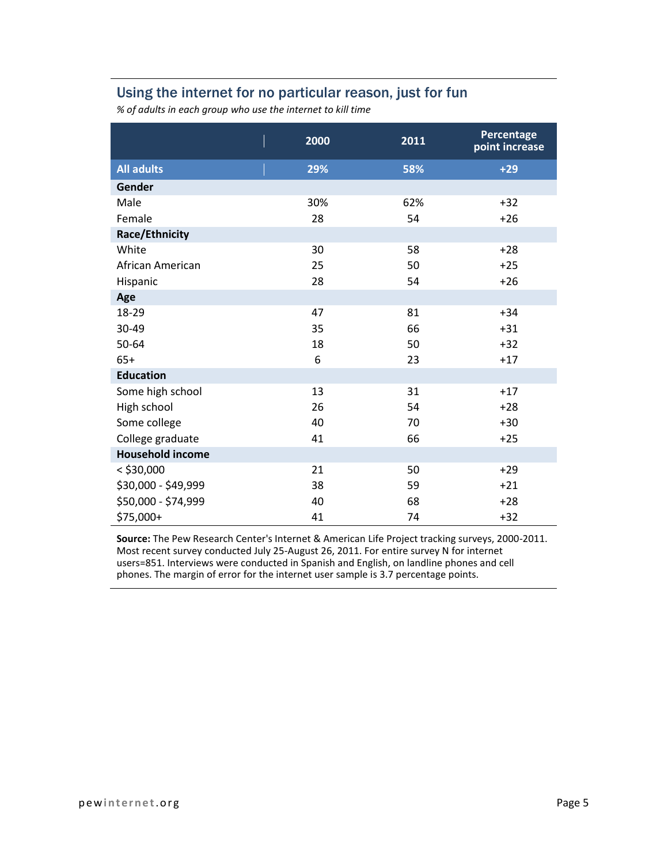### Using the internet for no particular reason, just for fun

*% of adults in each group who use the internet to kill time* 

|                         | 2000 | 2011 | Percentage<br>point increase |
|-------------------------|------|------|------------------------------|
| <b>All adults</b>       | 29%  | 58%  | $+29$                        |
| Gender                  |      |      |                              |
| Male                    | 30%  | 62%  | $+32$                        |
| Female                  | 28   | 54   | $+26$                        |
| <b>Race/Ethnicity</b>   |      |      |                              |
| White                   | 30   | 58   | $+28$                        |
| African American        | 25   | 50   | $+25$                        |
| Hispanic                | 28   | 54   | $+26$                        |
| Age                     |      |      |                              |
| 18-29                   | 47   | 81   | $+34$                        |
| 30-49                   | 35   | 66   | $+31$                        |
| 50-64                   | 18   | 50   | $+32$                        |
| $65+$                   | 6    | 23   | $+17$                        |
| <b>Education</b>        |      |      |                              |
| Some high school        | 13   | 31   | $+17$                        |
| High school             | 26   | 54   | $+28$                        |
| Some college            | 40   | 70   | $+30$                        |
| College graduate        | 41   | 66   | $+25$                        |
| <b>Household income</b> |      |      |                              |
| $<$ \$30,000            | 21   | 50   | $+29$                        |
| \$30,000 - \$49,999     | 38   | 59   | $+21$                        |
| \$50,000 - \$74,999     | 40   | 68   | $+28$                        |
| \$75,000+               | 41   | 74   | $+32$                        |

**Source:** The Pew Research Center's Internet & American Life Project tracking surveys, 2000-2011. Most recent survey conducted July 25-August 26, 2011. For entire survey N for internet users=851. Interviews were conducted in Spanish and English, on landline phones and cell phones. The margin of error for the internet user sample is 3.7 percentage points.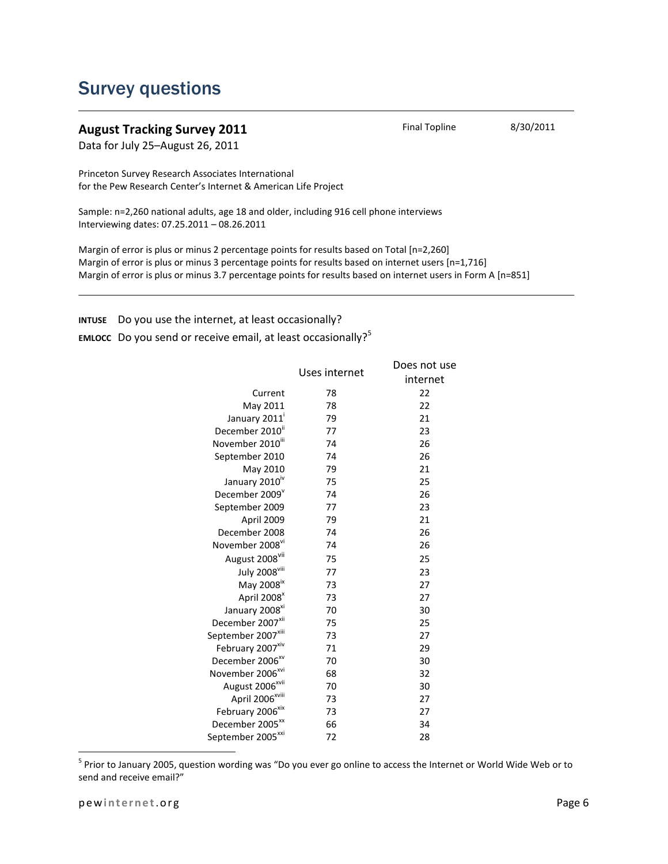### Survey questions

### **August Tracking Survey 2011** Final Topline 8/30/2011

Data for July 25–August 26, 2011

Princeton Survey Research Associates International for the Pew Research Center's Internet & American Life Project

Sample: n=2,260 national adults, age 18 and older, including 916 cell phone interviews Interviewing dates: 07.25.2011 – 08.26.2011

Margin of error is plus or minus 2 percentage points for results based on Total [n=2,260] Margin of error is plus or minus 3 percentage points for results based on internet users [n=1,716] Margin of error is plus or minus 3.7 percentage points for results based on internet users in Form A [n=851]

**INTUSE** Do you use the internet, at least occasionally?

**EMLOCC** Do you send or receive email, at least occasionally?<sup>5</sup>

|                                  | Uses internet | Does not use |
|----------------------------------|---------------|--------------|
|                                  |               | internet     |
| Current                          | 78            | 22           |
| May 2011                         | 78            | 22           |
| January 2011                     | 79            | 21           |
| December 2010"                   | 77            | 23           |
| November 2010ill                 | 74            | 26           |
| September 2010                   | 74            | 26           |
| May 2010                         | 79            | 21           |
| January 2010 <sup>iv</sup>       | 75            | 25           |
| December 2009 <sup>v</sup>       | 74            | 26           |
| September 2009                   | 77            | 23           |
| April 2009                       | 79            | 21           |
| December 2008                    | 74            | 26           |
| November 2008 <sup>vi</sup>      | 74            | 26           |
| August 2008 <sup>vii</sup>       | 75            | 25           |
| <b>July 2008</b> <sup>viii</sup> | 77            | 23           |
| May 2008 <sup>ix</sup>           | 73            | 27           |
| April 2008 <sup>x</sup>          | 73            | 27           |
| January 2008 <sup>xi</sup>       | 70            | 30           |
| December 2007 <sup>xii</sup>     | 75            | 25           |
| September 2007*iii               | 73            | 27           |
| February 2007 <sup>xiv</sup>     | 71            | 29           |
| December 2006 <sup>xv</sup>      | 70            | 30           |
| November 2006 <sup>xvi</sup>     | 68            | 32           |
| August 2006 <sup>xvii</sup>      | 70            | 30           |
| April 2006*viii                  | 73            | 27           |
| February 2006 <sup>xix</sup>     | 73            | 27           |
| December 2005 <sup>xx</sup>      | 66            | 34           |
| September 2005 <sup>xxi</sup>    | 72            | 28           |

<sup>5</sup> Prior to January 2005, question wording was "Do you ever go online to access the Internet or World Wide Web or to send and receive email?"

 $\overline{a}$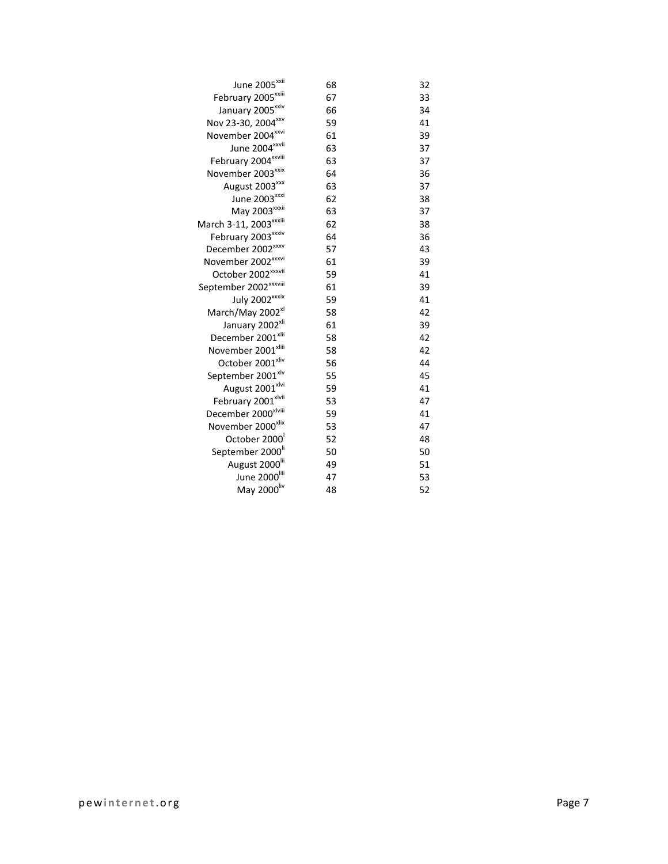| June 2005 <sup>xxii</sup>         | 68 | 32 |
|-----------------------------------|----|----|
| February 2005 <sup>xxiii</sup>    | 67 | 33 |
| January 2005 <sup>xxiv</sup>      | 66 | 34 |
| Nov 23-30, 2004 xxv               | 59 | 41 |
| November 2004 <sup>xxvi</sup>     | 61 | 39 |
| June 2004 <sup>xxvii</sup>        | 63 | 37 |
| February 2004 xxviii              | 63 | 37 |
| November 2003 <sup>xxix</sup>     | 64 | 36 |
| August 2003 <sup>xxx</sup>        | 63 | 37 |
| June 2003 <sup>xxxi</sup>         | 62 | 38 |
| May 2003 <sup>xxxii</sup>         | 63 | 37 |
| March 3-11, 2003 xxxiii           | 62 | 38 |
| February 2003 xxxiv               | 64 | 36 |
| December 2002 <sup>xxxv</sup>     | 57 | 43 |
| November 2002 <sup>xxxvi</sup>    | 61 | 39 |
| October 2002 <sup>xxxvii</sup>    | 59 | 41 |
| September 2002 <sup>xxxviii</sup> | 61 | 39 |
| July 2002 <sup>xxxix</sup>        | 59 | 41 |
| March/May 2002 <sup>xl</sup>      | 58 | 42 |
| January 2002 <sup>xli</sup>       | 61 | 39 |
| December 2001 <sup>xlii</sup>     | 58 | 42 |
| November 2001 <sup>xliii</sup>    | 58 | 42 |
| October 2001 <sup>xliv</sup>      | 56 | 44 |
| September 2001 <sup>xlv</sup>     | 55 | 45 |
| August 2001 <sup>xlvi</sup>       | 59 | 41 |
| February 2001 <sup>xlvii</sup>    | 53 | 47 |
| December 2000 <sup>xlviii</sup>   | 59 | 41 |
| November 2000 <sup>xlix</sup>     | 53 | 47 |
| October 2000                      | 52 | 48 |
| September 2000 <sup>li</sup>      | 50 | 50 |
| August 2000 <sup>lii</sup>        | 49 | 51 |
| June 2000                         | 47 | 53 |
| May 2000liv                       | 48 | 52 |
|                                   |    |    |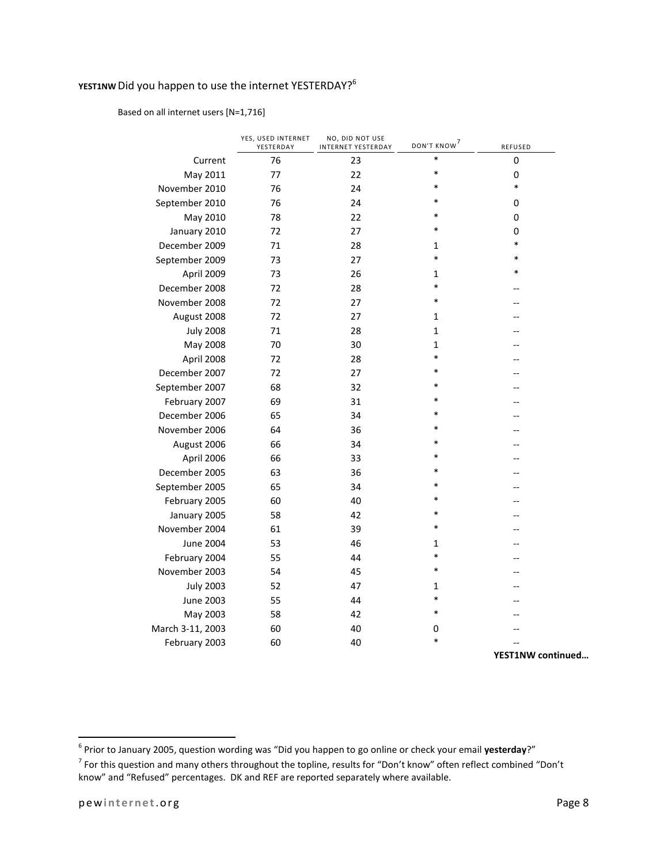### YEST1NW Did you happen to use the internet YESTERDAY?<sup>6</sup>

#### Based on all internet users [N=1,716]

|                  | YES, USED INTERNET<br>YESTERDAY | NO, DID NOT USE<br>INTERNET YESTERDAY | DON'T KNOW <sup>7</sup> | REFUSED |
|------------------|---------------------------------|---------------------------------------|-------------------------|---------|
| Current          | 76                              | 23                                    | $\ast$                  | 0       |
| May 2011         | 77                              | 22                                    | *                       | 0       |
| November 2010    | 76                              | 24                                    | *                       | $\ast$  |
| September 2010   | 76                              | 24                                    | *                       | 0       |
| May 2010         | 78                              | 22                                    | $\ast$                  | 0       |
| January 2010     | 72                              | 27                                    | $\ast$                  | 0       |
| December 2009    | 71                              | 28                                    | 1                       | $\ast$  |
| September 2009   | 73                              | 27                                    | $\ast$                  | *       |
| April 2009       | 73                              | 26                                    | 1                       | *       |
| December 2008    | 72                              | 28                                    | *                       |         |
| November 2008    | 72                              | 27                                    | $\ast$                  |         |
| August 2008      | 72                              | 27                                    | 1                       |         |
| <b>July 2008</b> | 71                              | 28                                    | 1                       |         |
| May 2008         | 70                              | 30                                    | 1                       |         |
| April 2008       | 72                              | 28                                    | $\ast$                  |         |
| December 2007    | 72                              | 27                                    | *                       |         |
| September 2007   | 68                              | 32                                    | $\ast$                  |         |
| February 2007    | 69                              | 31                                    | $\ast$                  |         |
| December 2006    | 65                              | 34                                    | $\ast$                  |         |
| November 2006    | 64                              | 36                                    | $\ast$                  |         |
| August 2006      | 66                              | 34                                    | $\ast$                  |         |
| April 2006       | 66                              | 33                                    | $\ast$                  |         |
| December 2005    | 63                              | 36                                    | *                       |         |
| September 2005   | 65                              | 34                                    | *                       |         |
| February 2005    | 60                              | 40                                    | $\ast$                  |         |
| January 2005     | 58                              | 42                                    | $\ast$                  |         |
| November 2004    | 61                              | 39                                    | $\ast$                  |         |
| <b>June 2004</b> | 53                              | 46                                    | 1                       |         |
| February 2004    | 55                              | 44                                    | *                       |         |
| November 2003    | 54                              | 45                                    | *                       |         |
| <b>July 2003</b> | 52                              | 47                                    | 1                       |         |
| <b>June 2003</b> | 55                              | 44                                    | $\ast$                  |         |
| May 2003         | 58                              | 42                                    | $\ast$                  |         |
| March 3-11, 2003 | 60                              | 40                                    | 0                       |         |
| February 2003    | 60                              | 40                                    | $\ast$                  |         |

**YEST1NW continued…**

 6 Prior to January 2005, question wording was "Did you happen to go online or check your email **yesterday**?"

<sup>&</sup>lt;sup>7</sup> For this question and many others throughout the topline, results for "Don't know" often reflect combined "Don't know" and "Refused" percentages. DK and REF are reported separately where available.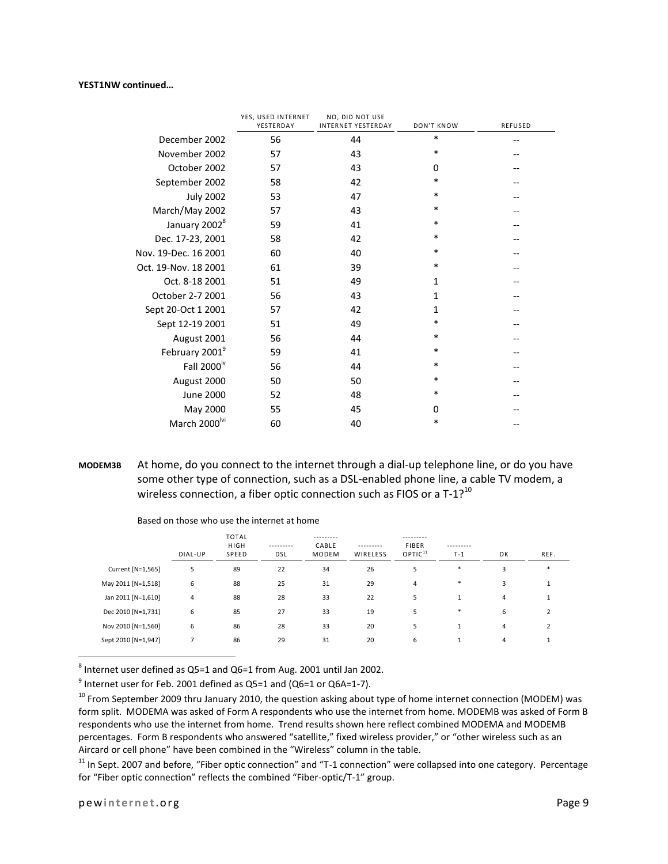#### **YEST1NW continued…**

|                           | YES, USED INTERNET<br>YESTERDAY | NO, DID NOT USE<br><b>INTERNET YESTERDAY</b> | DON'T KNOW   | <b>REFUSED</b> |
|---------------------------|---------------------------------|----------------------------------------------|--------------|----------------|
| December 2002             | 56                              | 44                                           | *            |                |
| November 2002             | 57                              | 43                                           | *            |                |
| October 2002              | 57                              | 43                                           | $\Omega$     |                |
| September 2002            | 58                              | 42                                           | *            |                |
| <b>July 2002</b>          | 53                              | 47                                           | *            |                |
| March/May 2002            | 57                              | 43                                           | *            |                |
| January 2002 <sup>8</sup> | 59                              | 41                                           | *            |                |
| Dec. 17-23, 2001          | 58                              | 42                                           | *            |                |
| Nov. 19-Dec. 16 2001      | 60                              | 40                                           | *            |                |
| Oct. 19-Nov. 18 2001      | 61                              | 39                                           | *            |                |
| Oct. 8-18 2001            | 51                              | 49                                           | $\mathbf{1}$ |                |
| October 2-7 2001          | 56                              | 43                                           | 1            |                |
| Sept 20-Oct 1 2001        | 57                              | 42                                           | 1            |                |
| Sept 12-19 2001           | 51                              | 49                                           | *            |                |
| August 2001               | 56                              | 44                                           | *            |                |
| February 20019            | 59                              | 41                                           | *            |                |
| Fall 2000 <sup>lv</sup>   | 56                              | 44                                           | *            |                |
| August 2000               | 50                              | 50                                           | *            |                |
| <b>June 2000</b>          | 52                              | 48                                           | *            |                |
| May 2000                  | 55                              | 45                                           | 0            |                |
| March 2000 <sup>lvi</sup> | 60                              | 40                                           | *            |                |

**MODEM3B** At home, do you connect to the internet through a dial-up telephone line, or do you have some other type of connection, such as a DSL-enabled phone line, a cable TV modem, a wireless connection, a fiber optic connection such as FIOS or a  $T-1$ ?<sup>10</sup>

|                     | DIAL-UP | <b>TOTAL</b><br><b>HIGH</b><br>SPEED | ---------<br>DSL | ---------<br>CABLE<br><b>MODEM</b> | ---------<br>WIRELESS | ---------<br><b>FIBER</b><br>OPTIC <sup>11</sup> | ---------<br>$T-1$   | DK | REF.           |
|---------------------|---------|--------------------------------------|------------------|------------------------------------|-----------------------|--------------------------------------------------|----------------------|----|----------------|
| Current [N=1,565]   | 5       | 89                                   | 22               | 34                                 | 26                    | 5                                                | $\ast$               | 3  | $\ast$         |
| May 2011 [N=1,518]  | 6       | 88                                   | 25               | 31                                 | 29                    | 4                                                | $\ast$               | 3  | 1              |
| Jan 2011 [N=1,610]  | 4       | 88                                   | 28               | 33                                 | 22                    | 5                                                | $\blacktriangleleft$ | 4  | 1              |
| Dec 2010 [N=1,731]  | 6       | 85                                   | 27               | 33                                 | 19                    | 5                                                | $\ast$               | 6  | 2              |
| Nov 2010 [N=1,560]  | 6       | 86                                   | 28               | 33                                 | 20                    | 5                                                | $\blacktriangleleft$ | 4  | $\overline{2}$ |
| Sept 2010 [N=1,947] |         | 86                                   | 29               | 31                                 | 20                    | 6                                                |                      | 4  |                |

Based on those who use the internet at home

8 Internet user defined as Q5=1 and Q6=1 from Aug. 2001 until Jan 2002.

 $9$  Internet user for Feb. 2001 defined as Q5=1 and (Q6=1 or Q6A=1-7).

<sup>10</sup> From September 2009 thru January 2010, the question asking about type of home internet connection (MODEM) was form split. MODEMA was asked of Form A respondents who use the internet from home. MODEMB was asked of Form B respondents who use the internet from home. Trend results shown here reflect combined MODEMA and MODEMB percentages. Form B respondents who answered "satellite," fixed wireless provider," or "other wireless such as an Aircard or cell phone" have been combined in the "Wireless" column in the table.

 $11$  In Sept. 2007 and before, "Fiber optic connection" and "T-1 connection" were collapsed into one category. Percentage for "Fiber optic connection" reflects the combined "Fiber-optic/T-1" group.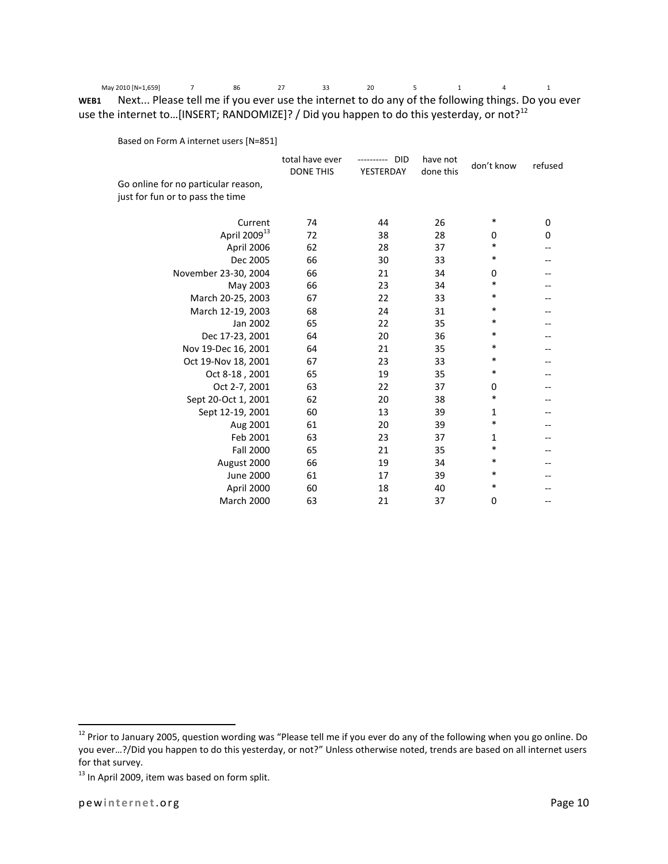May 2010 [N=1,659] 7 86 27 33 20 5 1 4 1 **WEB1** Next... Please tell me if you ever use the internet to do any of the following things. Do you ever use the internet to...[INSERT; RANDOMIZE]? / Did you happen to do this yesterday, or not?<sup>12</sup>

Based on Form A internet users [N=851]

|                                                                         | total have ever<br><b>DONE THIS</b> | <b>DID</b><br>----------<br>YESTERDAY | have not<br>done this | don't know | refused |
|-------------------------------------------------------------------------|-------------------------------------|---------------------------------------|-----------------------|------------|---------|
| Go online for no particular reason,<br>just for fun or to pass the time |                                     |                                       |                       |            |         |
|                                                                         |                                     |                                       |                       |            |         |
| Current                                                                 | 74                                  | 44                                    | 26                    | *          | 0       |
| April 2009 <sup>13</sup>                                                | 72                                  | 38                                    | 28                    | 0          | 0       |
| April 2006                                                              | 62                                  | 28                                    | 37                    | *          |         |
| Dec 2005                                                                | 66                                  | 30                                    | 33                    | $\ast$     |         |
| November 23-30, 2004                                                    | 66                                  | 21                                    | 34                    | 0          |         |
| May 2003                                                                | 66                                  | 23                                    | 34                    | *          |         |
| March 20-25, 2003                                                       | 67                                  | 22                                    | 33                    | *          |         |
| March 12-19, 2003                                                       | 68                                  | 24                                    | 31                    | *          |         |
| Jan 2002                                                                | 65                                  | 22                                    | 35                    | $\ast$     |         |
| Dec 17-23, 2001                                                         | 64                                  | 20                                    | 36                    | *          |         |
| Nov 19-Dec 16, 2001                                                     | 64                                  | 21                                    | 35                    | $\ast$     |         |
| Oct 19-Nov 18, 2001                                                     | 67                                  | 23                                    | 33                    | $\ast$     |         |
| Oct 8-18, 2001                                                          | 65                                  | 19                                    | 35                    | $\ast$     |         |
| Oct 2-7, 2001                                                           | 63                                  | 22                                    | 37                    | 0          |         |
| Sept 20-Oct 1, 2001                                                     | 62                                  | 20                                    | 38                    | *          |         |
| Sept 12-19, 2001                                                        | 60                                  | 13                                    | 39                    | 1          |         |
| Aug 2001                                                                | 61                                  | 20                                    | 39                    | $\ast$     |         |
| Feb 2001                                                                | 63                                  | 23                                    | 37                    | 1          |         |
| <b>Fall 2000</b>                                                        | 65                                  | 21                                    | 35                    | $\ast$     |         |
| August 2000                                                             | 66                                  | 19                                    | 34                    | $\ast$     |         |
| <b>June 2000</b>                                                        | 61                                  | 17                                    | 39                    | $\ast$     |         |
| April 2000                                                              | 60                                  | 18                                    | 40                    | $\ast$     |         |
| March 2000                                                              | 63                                  | 21                                    | 37                    | 0          |         |
|                                                                         |                                     |                                       |                       |            |         |

<sup>&</sup>lt;sup>12</sup> Prior to January 2005, question wording was "Please tell me if you ever do any of the following when you go online. Do you ever…?/Did you happen to do this yesterday, or not?" Unless otherwise noted, trends are based on all internet users for that survey.

<sup>&</sup>lt;sup>13</sup> In April 2009, item was based on form split.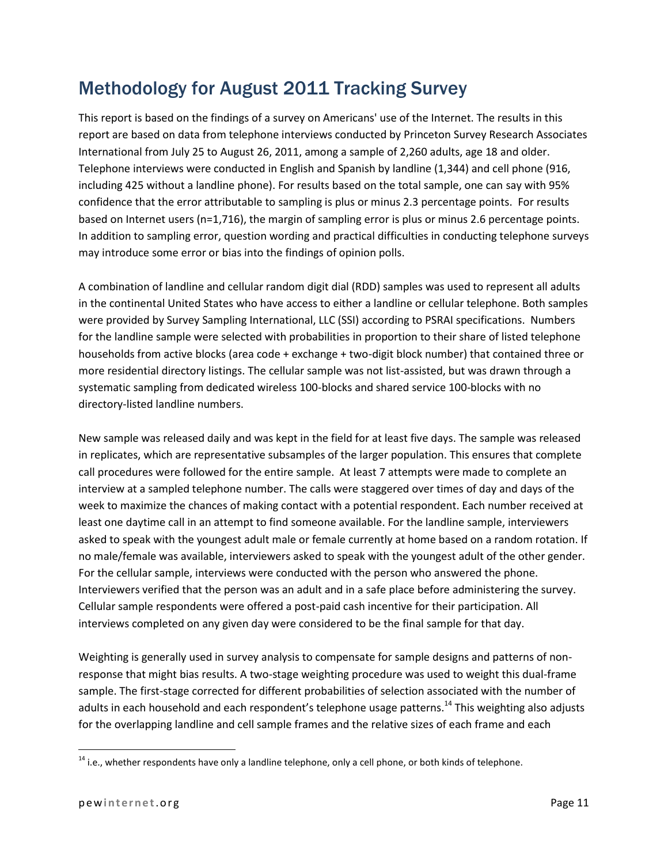# Methodology for August 2011 Tracking Survey

This report is based on the findings of a survey on Americans' use of the Internet. The results in this report are based on data from telephone interviews conducted by Princeton Survey Research Associates International from July 25 to August 26, 2011, among a sample of 2,260 adults, age 18 and older. Telephone interviews were conducted in English and Spanish by landline (1,344) and cell phone (916, including 425 without a landline phone). For results based on the total sample, one can say with 95% confidence that the error attributable to sampling is plus or minus 2.3 percentage points. For results based on Internet users (n=1,716), the margin of sampling error is plus or minus 2.6 percentage points. In addition to sampling error, question wording and practical difficulties in conducting telephone surveys may introduce some error or bias into the findings of opinion polls.

A combination of landline and cellular random digit dial (RDD) samples was used to represent all adults in the continental United States who have access to either a landline or cellular telephone. Both samples were provided by Survey Sampling International, LLC (SSI) according to PSRAI specifications. Numbers for the landline sample were selected with probabilities in proportion to their share of listed telephone households from active blocks (area code + exchange + two-digit block number) that contained three or more residential directory listings. The cellular sample was not list-assisted, but was drawn through a systematic sampling from dedicated wireless 100-blocks and shared service 100-blocks with no directory-listed landline numbers.

New sample was released daily and was kept in the field for at least five days. The sample was released in replicates, which are representative subsamples of the larger population. This ensures that complete call procedures were followed for the entire sample. At least 7 attempts were made to complete an interview at a sampled telephone number. The calls were staggered over times of day and days of the week to maximize the chances of making contact with a potential respondent. Each number received at least one daytime call in an attempt to find someone available. For the landline sample, interviewers asked to speak with the youngest adult male or female currently at home based on a random rotation. If no male/female was available, interviewers asked to speak with the youngest adult of the other gender. For the cellular sample, interviews were conducted with the person who answered the phone. Interviewers verified that the person was an adult and in a safe place before administering the survey. Cellular sample respondents were offered a post-paid cash incentive for their participation. All interviews completed on any given day were considered to be the final sample for that day.

Weighting is generally used in survey analysis to compensate for sample designs and patterns of nonresponse that might bias results. A two-stage weighting procedure was used to weight this dual-frame sample. The first-stage corrected for different probabilities of selection associated with the number of adults in each household and each respondent's telephone usage patterns.<sup>14</sup> This weighting also adjusts for the overlapping landline and cell sample frames and the relative sizes of each frame and each

<sup>&</sup>lt;sup>14</sup> i.e., whether respondents have only a landline telephone, only a cell phone, or both kinds of telephone.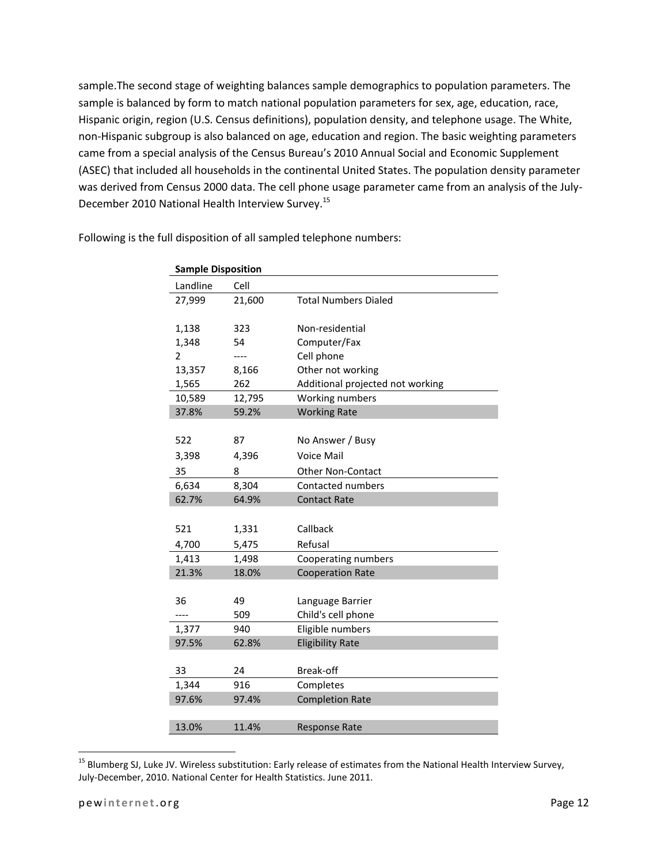sample.The second stage of weighting balances sample demographics to population parameters. The sample is balanced by form to match national population parameters for sex, age, education, race, Hispanic origin, region (U.S. Census definitions), population density, and telephone usage. The White, non-Hispanic subgroup is also balanced on age, education and region. The basic weighting parameters came from a special analysis of the Census Bureau's 2010 Annual Social and Economic Supplement (ASEC) that included all households in the continental United States. The population density parameter was derived from Census 2000 data. The cell phone usage parameter came from an analysis of the July-December 2010 National Health Interview Survey.<sup>15</sup>

| <b>Sample Disposition</b> |        |                                  |  |
|---------------------------|--------|----------------------------------|--|
| Landline                  | Cell   |                                  |  |
| 27,999                    | 21,600 | <b>Total Numbers Dialed</b>      |  |
|                           |        |                                  |  |
| 1,138                     | 323    | Non-residential                  |  |
| 1,348                     | 54     | Computer/Fax                     |  |
| $\overline{2}$            |        | Cell phone                       |  |
| 13,357                    | 8,166  | Other not working                |  |
| 1,565                     | 262    | Additional projected not working |  |
| 10,589                    | 12,795 | Working numbers                  |  |
| 37.8%                     | 59.2%  | <b>Working Rate</b>              |  |
|                           |        |                                  |  |
| 522                       | 87     | No Answer / Busy                 |  |
| 3,398                     | 4,396  | <b>Voice Mail</b>                |  |
| 35                        | 8      | <b>Other Non-Contact</b>         |  |
| 6,634                     | 8,304  | Contacted numbers                |  |
| 62.7%                     | 64.9%  | <b>Contact Rate</b>              |  |
|                           |        |                                  |  |
| 521                       | 1,331  | Callback                         |  |
| 4,700                     | 5,475  | Refusal                          |  |
| 1,413                     | 1,498  | Cooperating numbers              |  |
| 21.3%                     | 18.0%  | <b>Cooperation Rate</b>          |  |
|                           |        |                                  |  |
| 36                        | 49     | Language Barrier                 |  |
|                           | 509    | Child's cell phone               |  |
| 1,377                     | 940    | Eligible numbers                 |  |
| 97.5%                     | 62.8%  | <b>Eligibility Rate</b>          |  |
|                           |        |                                  |  |
| 33                        | 24     | Break-off                        |  |
| 1,344                     | 916    | Completes                        |  |
| 97.6%                     | 97.4%  | <b>Completion Rate</b>           |  |
|                           |        |                                  |  |
| 13.0%                     | 11.4%  | <b>Response Rate</b>             |  |

Following is the full disposition of all sampled telephone numbers:

 $\overline{a}$ 

<sup>&</sup>lt;sup>15</sup> Blumberg SJ, Luke JV. Wireless substitution: Early release of estimates from the National Health Interview Survey, July-December, 2010. National Center for Health Statistics. June 2011.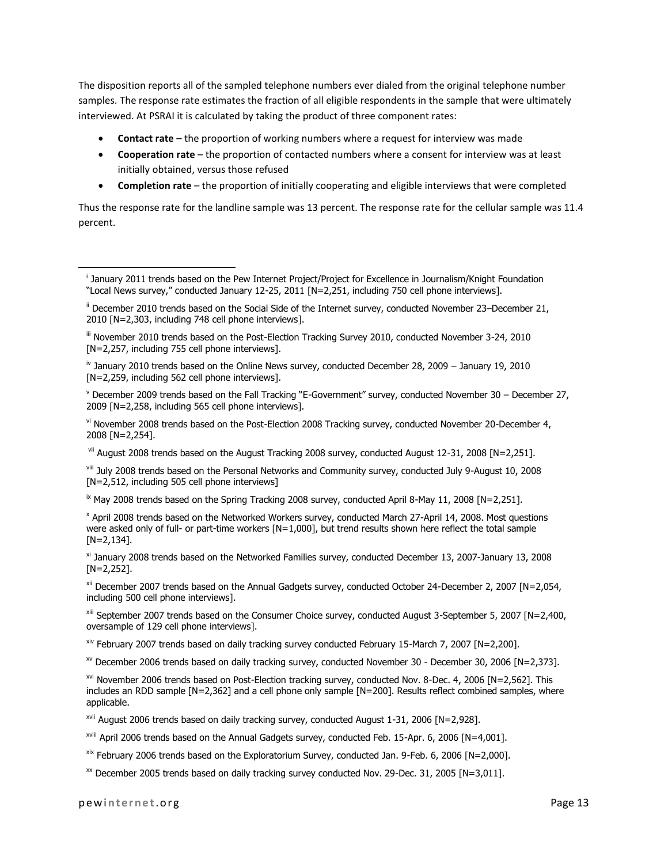The disposition reports all of the sampled telephone numbers ever dialed from the original telephone number samples. The response rate estimates the fraction of all eligible respondents in the sample that were ultimately interviewed. At PSRAI it is calculated by taking the product of three component rates:

- **Contact rate** the proportion of working numbers where a request for interview was made
- **Cooperation rate** the proportion of contacted numbers where a consent for interview was at least initially obtained, versus those refused
- **Completion rate** the proportion of initially cooperating and eligible interviews that were completed

Thus the response rate for the landline sample was 13 percent. The response rate for the cellular sample was 11.4 percent.

<sup>v</sup> December 2009 trends based on the Fall Tracking "E-Government" survey, conducted November 30 – December 27, 2009 [N=2,258, including 565 cell phone interviews].

v<sup>i</sup> November 2008 trends based on the Post-Election 2008 Tracking survey, conducted November 20-December 4, 2008 [N=2,254].

vii August 2008 trends based on the August Tracking 2008 survey, conducted August 12-31, 2008 [N=2,251].

viii July 2008 trends based on the Personal Networks and Community survey, conducted July 9-August 10, 2008 [N=2,512, including 505 cell phone interviews]

 $\overline{X}$  May 2008 trends based on the Spring Tracking 2008 survey, conducted April 8-May 11, 2008 [N=2,251].

x April 2008 trends based on the Networked Workers survey, conducted March 27-April 14, 2008. Most questions were asked only of full- or part-time workers [N=1,000], but trend results shown here reflect the total sample [N=2,134].

xi January 2008 trends based on the Networked Families survey, conducted December 13, 2007-January 13, 2008 [N=2,252].

xii December 2007 trends based on the Annual Gadgets survey, conducted October 24-December 2, 2007 [N=2,054, including 500 cell phone interviews].

xiii September 2007 trends based on the Consumer Choice survey, conducted August 3-September 5, 2007 [N=2,400, oversample of 129 cell phone interviews].

 $x^{x}$  February 2007 trends based on daily tracking survey conducted February 15-March 7, 2007 [N=2,200].

 $xv$  December 2006 trends based on daily tracking survey, conducted November 30 - December 30, 2006 [N=2,373].

xvi November 2006 trends based on Post-Election tracking survey, conducted Nov. 8-Dec. 4, 2006 [N=2,562]. This includes an RDD sample [N=2,362] and a cell phone only sample [N=200]. Results reflect combined samples, where applicable.

xvii August 2006 trends based on daily tracking survey, conducted August 1-31, 2006 [N=2,928].

xviii April 2006 trends based on the Annual Gadgets survey, conducted Feb. 15-Apr. 6, 2006 [N=4,001].

 $x$ <sup>xix</sup> February 2006 trends based on the Exploratorium Survey, conducted Jan. 9-Feb. 6, 2006 [N=2,000].

 $\text{W}$  December 2005 trends based on daily tracking survey conducted Nov. 29-Dec. 31, 2005 [N=3,011].

i January 2011 trends based on the Pew Internet Project/Project for Excellence in Journalism/Knight Foundation "Local News survey," conducted January 12-25, 2011 [N=2,251, including 750 cell phone interviews].

 $\mathbb{I}$  December 2010 trends based on the Social Side of the Internet survey, conducted November 23–December 21, 2010 [N=2,303, including 748 cell phone interviews].

iii November 2010 trends based on the Post-Election Tracking Survey 2010, conducted November 3-24, 2010 [N=2,257, including 755 cell phone interviews].

iv January 2010 trends based on the Online News survey, conducted December 28, 2009 – January 19, 2010 [N=2,259, including 562 cell phone interviews].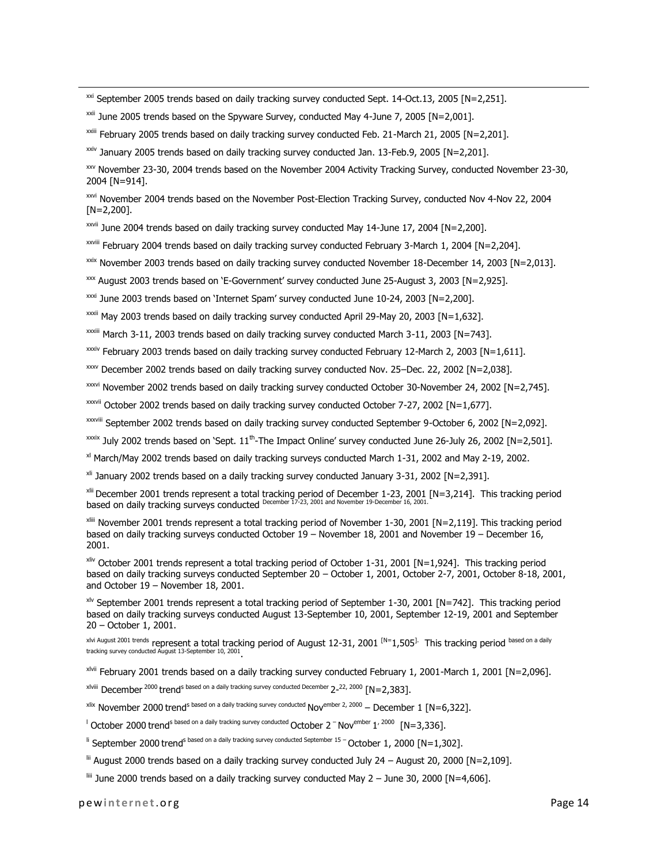$\frac{xxi}{x}$  September 2005 trends based on daily tracking survey conducted Sept. 14-Oct.13, 2005 [N=2,251].

 $xxi$  June 2005 trends based on the Spyware Survey, conducted May 4-June 7, 2005 [N=2,001].

xxiii February 2005 trends based on daily tracking survey conducted Feb. 21-March 21, 2005 [N=2,201].

 $xiv$  January 2005 trends based on daily tracking survey conducted Jan. 13-Feb.9, 2005 [N=2,201].

xxv November 23-30, 2004 trends based on the November 2004 Activity Tracking Survey, conducted November 23-30, 2004 [N=914].

xxvi November 2004 trends based on the November Post-Election Tracking Survey, conducted Nov 4-Nov 22, 2004 [N=2,200].

xxvii June 2004 trends based on daily tracking survey conducted May 14-June 17, 2004 [N=2,200].

xxviii February 2004 trends based on daily tracking survey conducted February 3-March 1, 2004 [N=2,204].

 $x$ <sup>xxix</sup> November 2003 trends based on daily tracking survey conducted November 18-December 14, 2003 [N=2,013].

xxx August 2003 trends based on 'E-Government' survey conducted June 25-August 3, 2003 [N=2,925].

xxxi June 2003 trends based on 'Internet Spam' survey conducted June 10-24, 2003 [N=2,200].

xxxii May 2003 trends based on daily tracking survey conducted April 29-May 20, 2003 [N=1,632].

xxxiii March 3-11, 2003 trends based on daily tracking survey conducted March 3-11, 2003 [N=743].

xxxiv February 2003 trends based on daily tracking survey conducted February 12-March 2, 2003 [N=1,611].

xxxv December 2002 trends based on daily tracking survey conducted Nov. 25–Dec. 22, 2002 [N=2,038].

xxxvi November 2002 trends based on daily tracking survey conducted October 30-November 24, 2002 [N=2,745].

xxxvii October 2002 trends based on daily tracking survey conducted October 7-27, 2002 [N=1,677].

xxxviii September 2002 trends based on daily tracking survey conducted September 9-October 6, 2002 [N=2,092].

 $\frac{x}{x}$  July 2002 trends based on 'Sept. 11<sup>th</sup>-The Impact Online' survey conducted June 26-July 26, 2002 [N=2,501].

xl March/May 2002 trends based on daily tracking surveys conducted March 1-31, 2002 and May 2-19, 2002.

 $xii$  January 2002 trends based on a daily tracking survey conducted January 3-31, 2002 [N=2,391].

xlii December 2001 trends represent a total tracking period of December 1-23, 2001 [N=3,214]. This tracking period based on daily tracking surveys conducted December 17-23, 2001 and November 19-December 16, 2001.

xliii November 2001 trends represent a total tracking period of November 1-30, 2001 [N=2,119]. This tracking period based on daily tracking surveys conducted October 19 – November 18, 2001 and November 19 – December 16, 2001.

 $x$ liv October 2001 trends represent a total tracking period of October 1-31, 2001 [N=1,924]. This tracking period based on daily tracking surveys conducted September 20 – October 1, 2001, October 2-7, 2001, October 8-18, 2001, and October 19 – November 18, 2001.

xlv September 2001 trends represent a total tracking period of September 1-30, 2001 [N=742]. This tracking period based on daily tracking surveys conducted August 13-September 10, 2001, September 12-19, 2001 and September 20 – October 1, 2001.

xlvi August 2001 trends represent a total tracking period of August 12-31, 2001 <sup>[N=</sup>1,505<sup>].</sup> This tracking period <sup>based on a daily</sup> tracking survey conducted August 13-September 10, 2001 .

xlvii February 2001 trends based on a daily tracking survey conducted February 1, 2001-March 1, 2001 [N=2,096].

 $x^{\text{lviii}}$  December  $^{2000}$  trend<sup>s based on a daily tracking survey conducted December 2-<sup>22, 2000</sup> [N=2,383].</sup>

<sup>xlix</sup> November 2000 trend<sup>s based on a daily tracking survey conducted Nov<sup>ember 2, 2000</sup> – December 1 [N=6,322].</sup>

 $\pm$  October 2000 trend<sup>s based on a daily tracking survey conducted October 2<sup>-</sup> Nov<sup>ember</sup> 1<sup>, 2000</sup> [N=3,336].</sup>

li September 2000 trend<sup>s based on a daily tracking survey conducted September 15 - October 1, 2000 [N=1,302].</sup>

 $\text{ln}$  August 2000 trends based on a daily tracking survey conducted July 24 – August 20, 2000 [N=2,109].

liii June 2000 trends based on a daily tracking survey conducted May 2 – June 30, 2000 [N=4,606].